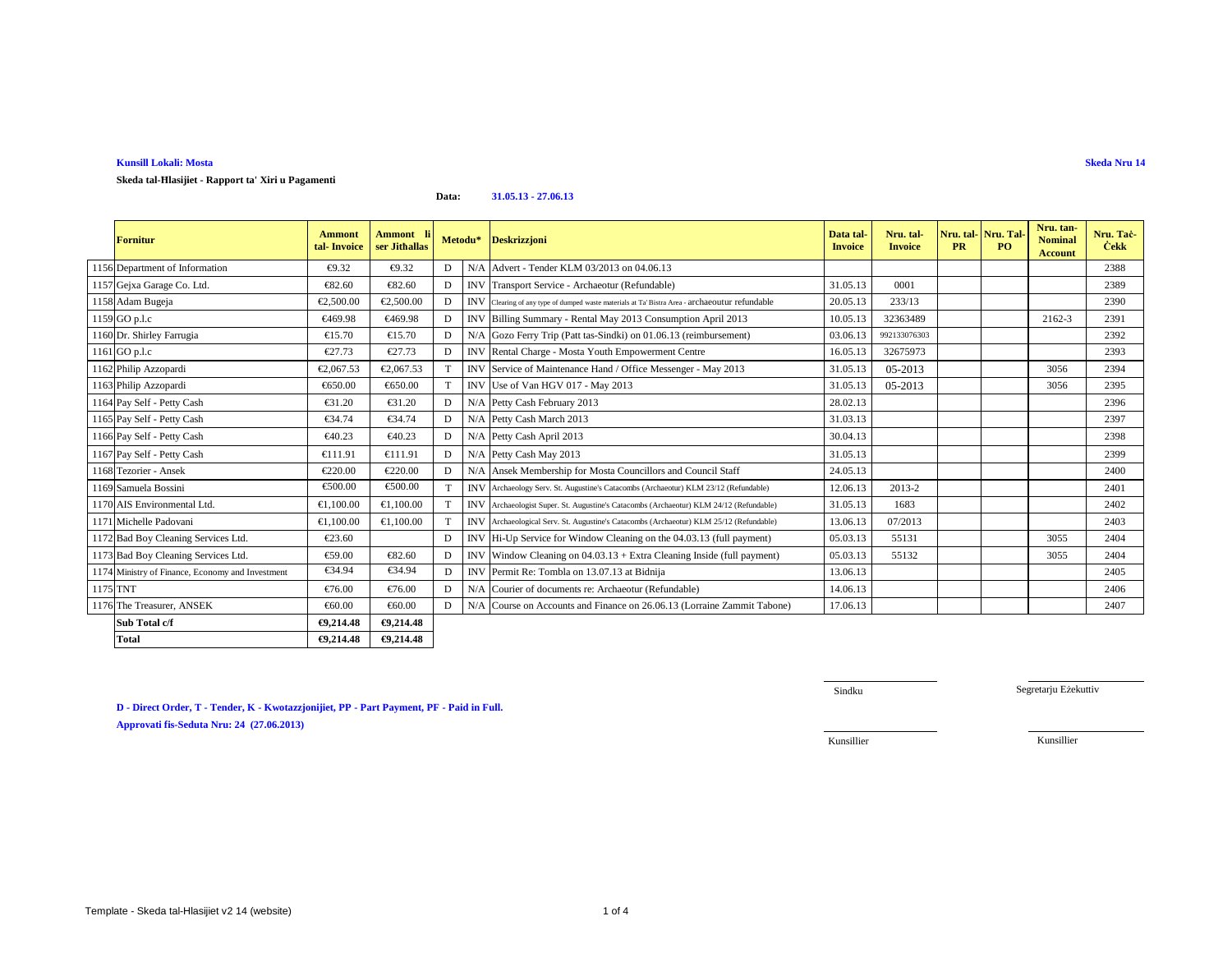# **Kunsill Lokali: MostaSkeda tal-Ħlasijiet - Rapport ta' Xiri u Pagamenti**

**Data:31.05.13 - 27.06.13**

|          | Fornitur                                         | <b>Ammont</b><br>tal Invoice | Ammont li<br>ser Jithallas | Metodu* |                           | <b>Deskrizzjoni</b>                                                                            | Data tal-<br><b>Invoice</b> | Nru. tal-<br><b>Invoice</b> | Nru. tal-Nru. Tal<br><b>PR</b> | PO. | Nru. tan-<br><b>Nominal</b><br><b>Account</b> | Nru. Tač-<br><b>Cekk</b> |
|----------|--------------------------------------------------|------------------------------|----------------------------|---------|---------------------------|------------------------------------------------------------------------------------------------|-----------------------------|-----------------------------|--------------------------------|-----|-----------------------------------------------|--------------------------|
|          | 1156 Department of Information                   | €9.32                        | €9.32                      | D       | N/A                       | Advert Tender KLM 03/2013 on 04.06.13                                                          |                             |                             |                                |     |                                               | 2388                     |
|          | 1157 Gejxa Garage Co. Ltd.                       | €82.60                       | €82.60                     | D       | <b>INV</b>                | TransporService - Archaeotur (Refundable)                                                      | 31.05.13                    | 0001                        |                                |     |                                               | 2389                     |
|          | 1158 Adam Bugeja                                 | €2,500.00                    | €2,500.00                  | D       |                           | INV Clearing of any type of dumped waste materials at Ta' Bistra Area - archaeoutur refundable | 20.05.13                    | 233/13                      |                                |     |                                               | 2390                     |
|          | 1159 GO p.l.c                                    | €469.98                      | €469.98                    | D       | <b>INV</b>                | Billing Summary - Rental May 2013Consumption April 2013                                        | 10.05.13                    | 32363489                    |                                |     | 2162-3                                        | 2391                     |
|          | 1160 Dr. Shirley Farrugia                        | €15.70                       | €15.70                     | D       | N/A                       | Gozo FerryTrip (Patt tas-Sindki) on 01.06.13 (reimbursement)                                   | 03.06.13                    | 992133076303                |                                |     |                                               | 2392                     |
|          | 1161 GO p.l.c                                    | €27.73                       | €27.73                     | D       | <b>INV</b>                | Rental Charge - Mosta Youth Empowerment Centre                                                 | 16.05.13                    | 32675973                    |                                |     |                                               | 2393                     |
|          | 1162 Philip Azzopardi                            | €2,067.53                    | €2,067.53                  |         | <b>INV</b>                | Service 6 Maintenance Hand / Office Messenger - May 2013                                       | 31.05.13                    | 05-2013                     |                                |     | 3056                                          | 2394                     |
|          | 1163 Philip Azzopardi                            | €650.00                      | €650.00                    | T       | <b>INV</b>                | Use of Van HO 017 - May 2013                                                                   | 31.05.13                    | 05-2013                     |                                |     | 3056                                          | 2395                     |
|          | 1164 Pay Self - Petty Cash                       | €31.20                       | €31.20                     | D       | N/A                       | Petty CashFebruary 2013                                                                        | 28.02.13                    |                             |                                |     |                                               | 2396                     |
|          | 1165 Pay Self - Petty Cash                       | €34.74                       | €34.74                     | D       |                           | N/A Petty CashMarch 2013                                                                       | 31.03.13                    |                             |                                |     |                                               | 2397                     |
|          | 1166 Pay Self - Petty Cash                       | €40.23                       | €40.23                     | D       | N/A                       | Petty CashApril 2013                                                                           | 30.04.13                    |                             |                                |     |                                               | 2398                     |
|          | 1167 Pay Self - Petty Cash                       | €111.91                      | €111.91                    | D       |                           | N/A Petty Cah May 2013                                                                         | 31.05.13                    |                             |                                |     |                                               | 2399                     |
|          | 1168 Tezorier - Ansek                            | €220.00                      | €220.00                    | D       | N/A                       | Ansek Memberkip for Mosta Councillors and Council Staff                                        | 24.05.13                    |                             |                                |     |                                               | 2400                     |
|          | 1169 Samuela Bossini                             | €500.00                      | €500.00                    | T       |                           | INV Archaeology Serv. St. Augustine's Catacombs (Archaeotur) KLM 23/12 (Refundable)            | 12.06.13                    | 2013-2                      |                                |     |                                               | 2401                     |
|          | 1170 AIS Environmental Ltd.                      | €1,100.00                    | €1,100.00                  |         |                           | INV Archaeologist Super. St. Augustine's Catacombs (Archaeotur) KLM 24/12 (Refundable)         | 31.05.13                    | 1683                        |                                |     |                                               | 2402                     |
|          | 1171 Michelle Padovani                           | €1,100.00                    | €1,100.00                  |         |                           | INV Archaeological Serv. St. Augustine's Catacombs (Archaeotur) KLM 25/12 (Refundable)         | 13.06.13                    | 07/2013                     |                                |     |                                               | 2403                     |
|          | 1172 Bad Boy Cleaning Services Ltd.              | €23.60                       |                            | D       |                           | INV Hi-Up Service for Window Cleaning on the 04.03.13 (full payment)                           | 05.03.13                    | 55131                       |                                |     | 3055                                          | 2404                     |
|          | 1173 Bad Boy Cleaning Services Ltd.              | €59.00                       | €82.60                     | D       | <b>INV</b>                | Whdow Cleaning on $04.03.13 +$ Extra Cleaning Inside (full payment)                            | 05.03.13                    | 55132                       |                                |     | 3055                                          | 2404                     |
|          | 1174 Ministry of Finance, Economy and Investment | €34.94                       | €34.94                     | D       | $\ensuremath{\text{INV}}$ | Permit Re: Tombla on 13.07.13 at Bidnija                                                       | 13.06.13                    |                             |                                |     |                                               | 2405                     |
| 1175 TNT |                                                  | €76.00                       | €76.00                     | D       | N/A                       | Courier of documents re: Archaeotur(Refundable)                                                | 14.06.13                    |                             |                                |     |                                               | 2406                     |
|          | 1176 The Treasurer, ANSEK                        | €60.00                       | €60.00                     | D       | N/A                       | Course on Accounts and Finance on 26.06.13 (Lorraine Zammit Tabone)                            | 17.06.13                    |                             |                                |     |                                               | 2407                     |
|          | Sub Total c/f                                    | €9,214.48                    | €9,214.48                  |         |                           |                                                                                                |                             |                             |                                |     |                                               |                          |
|          | <b>Total</b>                                     | €9,214.48                    | €9,214.48                  |         |                           |                                                                                                |                             |                             |                                |     |                                               |                          |

**Skeda Nru 14**

**D - Direct Order, T - Tender, K - Kwotazzjonijiet, PP - Part Payment, PF - Paid in Full.**

**Approvati fis-Seduta Nru: 24 (27.06.2013)**

Sindku

Segretarju Eżekuttiv

Kunsillier

Kunsillier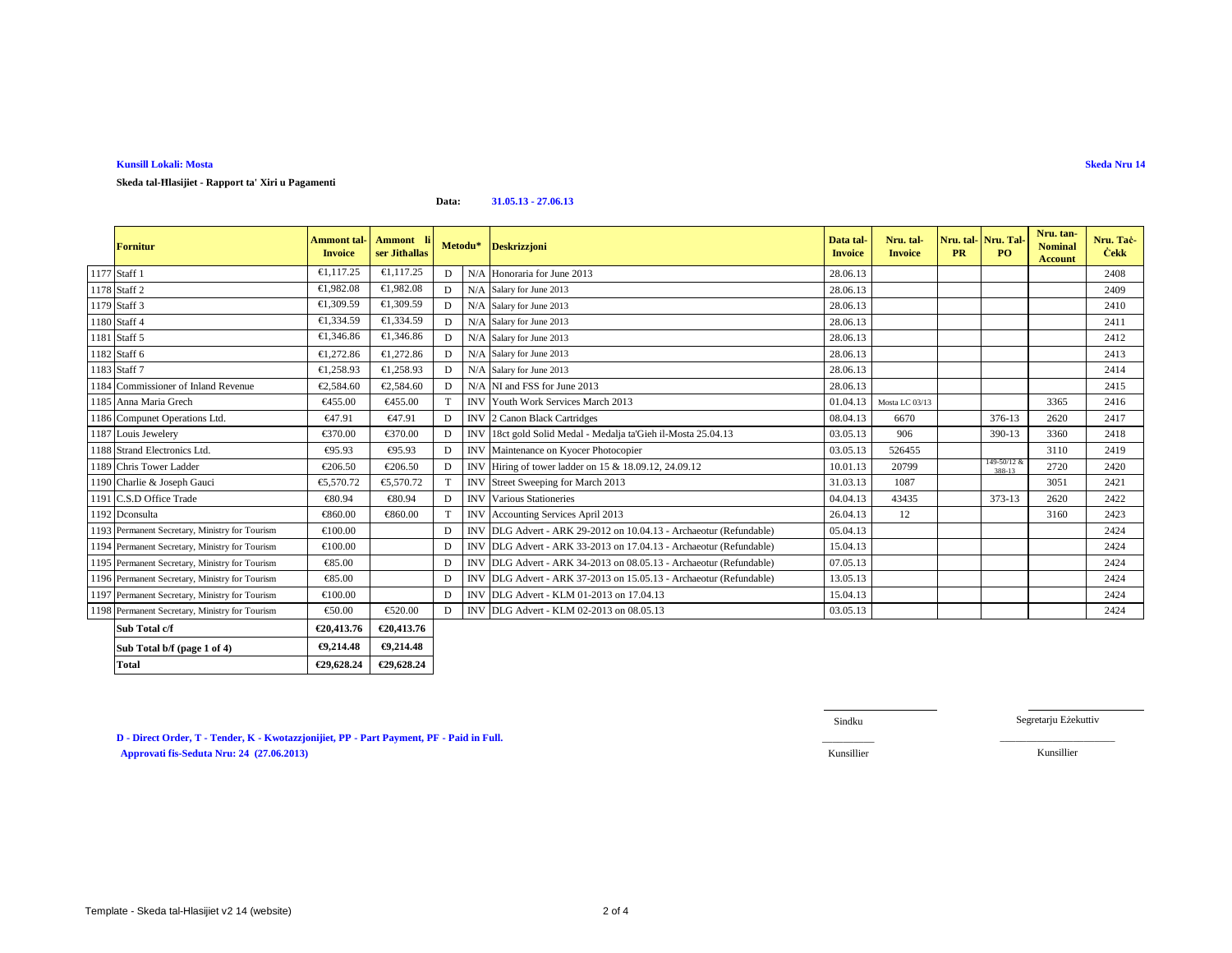# **Kunsill Lokali: Mosta**

# **Skeda tal-Ħlasijiet - Rapport ta' Xiri u Pagamenti**

**Data:31.05.13 - 27.06.13**

| <b>Fornitur</b>                                | <b>Ammont</b> tal-<br><b>Invoice</b> | Ammont li<br>ser Jithallas |   | Metodu*    | <b>Deskrizzjoni</b>                                                | Data tal-<br><b>Invoice</b> | Nru. tal-<br><b>Invoice</b> | <b>PR</b> | Nru. tal-Nru. Tal-<br>PO. | Nru. tan-<br><b>Nominal</b><br><b>Account</b> | Nru. Tač<br><b>Cekk</b> |
|------------------------------------------------|--------------------------------------|----------------------------|---|------------|--------------------------------------------------------------------|-----------------------------|-----------------------------|-----------|---------------------------|-----------------------------------------------|-------------------------|
| 1177 Staff 1                                   | €1,117.25                            | €1,117.25                  | D |            | N/A Honoraria for June 2013                                        | 28.06.13                    |                             |           |                           |                                               | 2408                    |
| 1178 Staff 2                                   | €1.982.08                            | €1,982.08                  | D |            | N/A Salary for June 2013                                           | 28.06.13                    |                             |           |                           |                                               | 2409                    |
| 1179 Staff 3                                   | €1.309.59                            | €1,309.59                  | D |            | N/A Salary for June 2013                                           | 28.06.13                    |                             |           |                           |                                               | 2410                    |
| 1180 Staff 4                                   | €1,334.59                            | €1,334.59                  | D |            | N/A Salary for June 2013                                           | 28.06.13                    |                             |           |                           |                                               | 2411                    |
| 1181 Staff 5                                   | €1,346.86                            | €1,346.86                  | D |            | N/A Salary for June 2013                                           | 28.06.13                    |                             |           |                           |                                               | 2412                    |
| 1182 Staff 6                                   | €1.272.86                            | €1,272.86                  | D |            | N/A Salary for June 2013                                           | 28.06.13                    |                             |           |                           |                                               | 2413                    |
| 1183 Staff 7                                   | €1,258.93                            | €1,258.93                  | D |            | N/A Salary for June 2013                                           | 28.06.13                    |                             |           |                           |                                               | 2414                    |
| 1184 Commissioner of Inland Revenue            | €2.584.60                            | €2,584.6                   | D |            | N/A NI and FSS for June 2013                                       | 28.06.13                    |                             |           |                           |                                               | 2415                    |
| 1185 Anna Maria Grech                          | €455.00                              | €455.00                    |   | <b>INV</b> | Youth Work Sevices March 2013                                      | 01.04.13                    | Mosta LC 03/13              |           |                           | 3365                                          | 2416                    |
| 1186 Compunet Operations Ltd.                  | €47.91                               | €47.91                     | D |            | INV 2 CanonBlack Cartridges                                        | 08.04.13                    | 6670                        |           | 376-13                    | 2620                                          | 2417                    |
| 1187 Louis Jewelery                            | €370.00                              | €370.00                    | D | <b>INV</b> | 18ct gold SolidMedal - Medalja ta'Gieh il-Mosta 25.04.13           | 03.05.13                    | 906                         |           | 390-13                    | 3360                                          | 2418                    |
| 1188 Strand Electronics Ltd.                   | €95.93                               | €95.93                     | D | <b>INV</b> | Maintennce on Kyocer Photocopier                                   | 03.05.13                    | 526455                      |           |                           | 3110                                          | 2419                    |
| 1189 Chris Tower Ladder                        | €206.50                              | €206.50                    | D | <b>INV</b> | Hiring of tower ladder on 15 & 18.09.12, 24.09.12                  | 10.01.13                    | 20799                       |           | 149-50/12 &<br>388-13     | 2720                                          | 2420                    |
| 1190 Charlie & Joseph Gauci                    | €5,570.72                            | €5,570.72                  | T | <b>INV</b> | Street Sweeping for March 2013                                     | 31.03.13                    | 1087                        |           |                           | 3051                                          | 2421                    |
| 1191 C.S.D Office Trade                        | €80.94                               | €80.94                     | D | <b>INV</b> | Various Statineries                                                | 04.04.13                    | 43435                       |           | 373-13                    | 2620                                          | 2422                    |
| 1192 Dconsulta                                 | €860.00                              | €860.00                    |   | <b>INV</b> | Accounting Services April 2013                                     | 26.04.13                    | 12                          |           |                           | 3160                                          | 2423                    |
| 1193 Permanent Secretary, Ministry for Tourism | €100.00                              |                            | D | <b>INV</b> | DLG Advert - ARK 29-2012 on 10.04.13 - Archaeotur (Refundable)     | 05.04.13                    |                             |           |                           |                                               | 2424                    |
| 1194 Permanent Secretary, Ministry for Tourism | €100.00                              |                            | D |            | INV DLG Advert - ARK 33-2013 on 17.04.13 - Archaeotur (Refundable) | 15.04.13                    |                             |           |                           |                                               | 2424                    |
| 1195 Permanent Secretary, Ministry for Tourism | €85.00                               |                            | D |            | INV DLG Advert - ARK 34-2013 on 08.05.13 - Archaeotur (Refundable) | 07.05.13                    |                             |           |                           |                                               | 2424                    |
| 1196 Permanent Secretary, Ministry for Tourism | €85.00                               |                            | D | <b>INV</b> | DLG Advert - ARK 37-2013 on 15.05.13 - Archaeotur (Refundable)     | 13.05.13                    |                             |           |                           |                                               | 2424                    |
| 1197 Permanent Secretary, Ministry for Tourism | €100.00                              |                            | D |            | INV DLG Advert - KLM 01-2013 on 17.04.13                           | 15.04.13                    |                             |           |                           |                                               | 2424                    |
| 1198 Permanent Secretary, Ministry for Tourism | €50.00                               | €520.00                    | D |            | INV DLG Advert - KLM 02-2013 on 08.0513                            | 03.05.13                    |                             |           |                           |                                               | 2424                    |
| Sub Total c/f                                  | €20,413.76                           | €20,413.76                 |   |            |                                                                    |                             |                             |           |                           |                                               |                         |
| Sub Total b/f (page 1 of 4)                    | €9,214.48                            | €9,214.48                  |   |            |                                                                    |                             |                             |           |                           |                                               |                         |
| Total                                          | €29,628.24                           | €29,628.24                 |   |            |                                                                    |                             |                             |           |                           |                                               |                         |

**D - Direct Order, T - Tender, K - Kwotazzjonijiet, PP - Part Payment, PF - Paid in Full. Approvati fis-Seduta Nru: 24 (27.06.2013)**Kunsillier Kunsillier

Sindku

Segretarju Eżekuttiv

 $\overline{\phantom{a}}$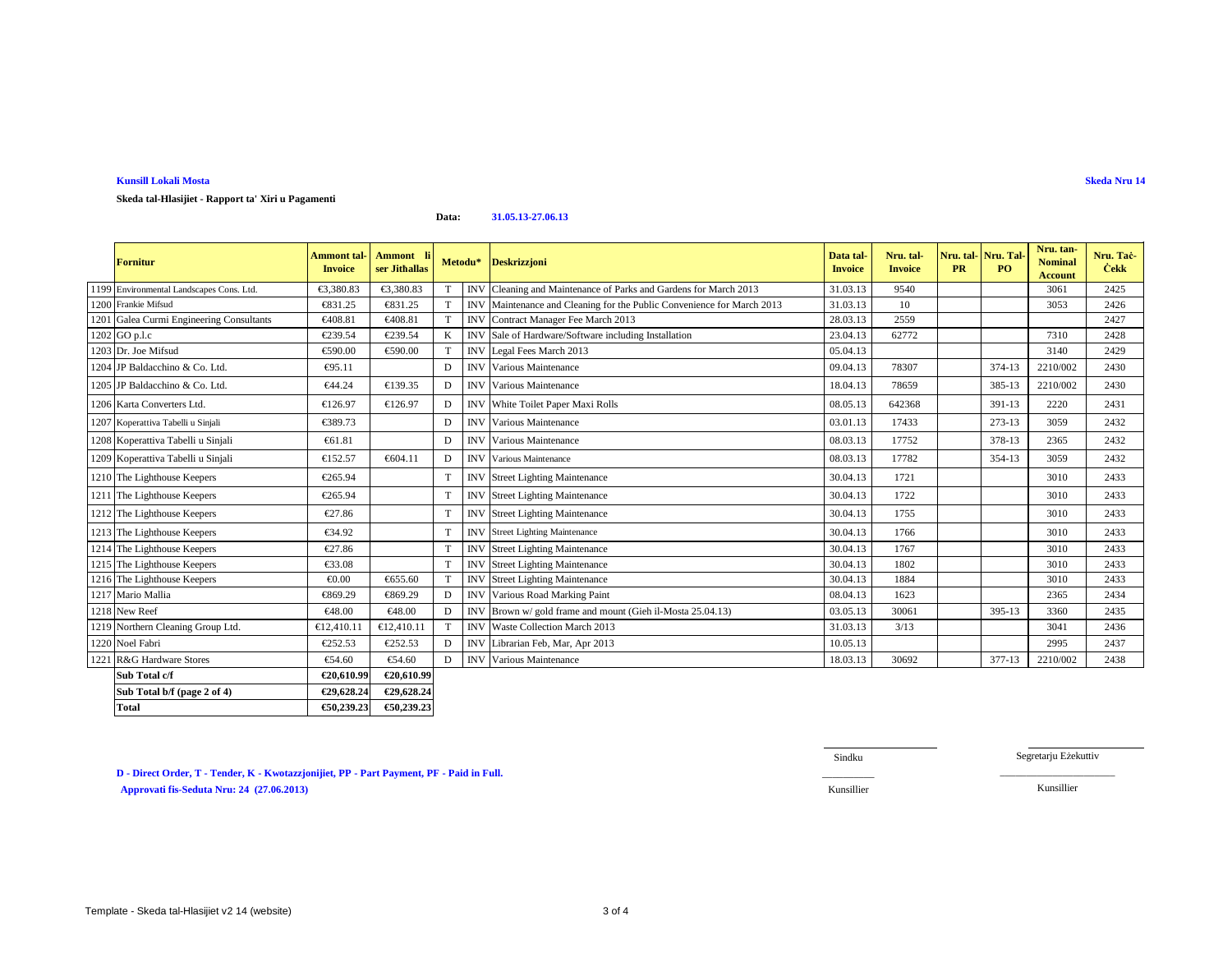### **Kunsill Lokali MostaSkeda Nru 14**

**Skeda tal-Hlasijiet - Rapport ta' Xiri u Pagamenti**

**Data:31.05.13-27.06.13**

| <b>Fornitur</b>                          | <b>Ammont</b> tal<br><b>Invoice</b> | Ammont li<br>ser Jithallas | Metodu* |            | <b>Deskrizzjoni</b>                                               | Data tal-<br><b>Invoice</b> | Nru. tal-<br><b>Invoice</b> | Nru. tal Nru. Tal<br><b>PR</b> | PQ     | Nru. tan-<br><b>Nominal</b><br><b>Account</b> | Nru. Taċ<br><b>Cekk</b> |
|------------------------------------------|-------------------------------------|----------------------------|---------|------------|-------------------------------------------------------------------|-----------------------------|-----------------------------|--------------------------------|--------|-----------------------------------------------|-------------------------|
| 1199 Environmental Landscapes Cons. Ltd. | €3,380.83                           | €3,380.83                  | T       | <b>INV</b> | Cleaning and Maintenance of Rrks and Gardens for March 2013       | 31.03.13                    | 9540                        |                                |        | 3061                                          | 2425                    |
| 1200 Frankie Mifsud                      | €831.25                             | €831.25                    | T       | <b>INV</b> | Maintenance and Cleaning for the ublic Convenience for March 2013 | 31.03.13                    | 10                          |                                |        | 3053                                          | 2426                    |
| 1201 Galea Curmi Engineering Consultants | €408.81                             | €40881                     | T       | <b>INV</b> | Contract Manager Fee March 2013                                   | 28.03.13                    | 2559                        |                                |        |                                               | 2427                    |
| 1202 GO p.l.c                            | €239.54                             | €239.54                    | K       | <b>INV</b> | Sale of Hardware/Software includig Installation                   | 23.04.13                    | 62772                       |                                |        | 7310                                          | 2428                    |
| 1203 Dr. Joe Mifsud                      | €590.00                             | €590.00                    | T       | <b>INV</b> | Legal Fees Marb 2013                                              | 05.04.13                    |                             |                                |        | 3140                                          | 2429                    |
| 1204 JP Baldacchino & Co. Ltd.           | €95.11                              |                            | D       | <b>INV</b> | Various Maintenance                                               | 09.04.13                    | 78307                       |                                | 374-13 | 2210/002                                      | 2430                    |
| 1205 JP Baldacchino & Co. Ltd.           | €44.24                              | €139.35                    | D       | IN         | Varios Maintenance                                                | 18.04.13                    | 78659                       |                                | 385-13 | 2210/002                                      | 2430                    |
| 1206 Karta Converters Ltd.               | €126.97                             | €126.97                    | D       | <b>INV</b> | White Tidet Paper Maxi Rolls                                      | 08.05.13                    | 642368                      |                                | 391-13 | 2220                                          | 2431                    |
| 1207 Koperattiva Tabelli u Sinjali       | €389.73                             |                            | D       | <b>INV</b> | Various Maintenance                                               | 03.01.13                    | 17433                       |                                | 273-13 | 3059                                          | 2432                    |
| 1208 Koperattiva Tabelli u Sinjali       | €61.81                              |                            | D       | <b>INV</b> | VariousMaintenance                                                | 08.03.13                    | 17752                       |                                | 378-13 | 2365                                          | 2432                    |
| 1209 Koperattiva Tabelli u Sinjali       | €152.57                             | €604.11                    | D       |            | <b>INV</b> Various Maintenance                                    | 08.03.13                    | 17782                       |                                | 354-13 | 3059                                          | 2432                    |
| 1210 The Lighthouse Keepers              | €265.94                             |                            | T       |            | <b>INV</b> Street Lighting Maintenance                            | 30.04.13                    | 1721                        |                                |        | 3010                                          | 2433                    |
| 1211 The Lighthouse Keepers              | €265.94                             |                            | T       | <b>INV</b> | <b>Street Lighting Maintenance</b>                                | 30.04.13                    | 1722                        |                                |        | 3010                                          | 2433                    |
| 1212 The Lighthouse Keepers              | €27.86                              |                            | T       | <b>INV</b> | Street LightingMaintenance                                        | 30.04.13                    | 1755                        |                                |        | 3010                                          | 2433                    |
| 1213 The Lighthouse Keepers              | €34.92                              |                            | T       |            | <b>INV</b> Street Lighting Maintenance                            | 30.04.13                    | 1766                        |                                |        | 3010                                          | 2433                    |
| 1214 The Lighthouse Keepers              | €27.86                              |                            | T       |            | <b>INV</b> Street Lighting Maintenance                            | 30.04.13                    | 1767                        |                                |        | 3010                                          | 2433                    |
| 1215 The Lighthouse Keepers              | €33.08                              |                            | T       |            | <b>INV</b> Street Lighting Maintenance                            | 30.04.13                    | 1802                        |                                |        | 3010                                          | 2433                    |
| 1216 The Lighthouse Keepers              | €0.00                               | €655.60                    | T       | <b>INV</b> | Street Lighting Maintenance                                       | 30.04.13                    | 1884                        |                                |        | 3010                                          | 2433                    |
| 1217 Mario Mallia                        | €869.29                             | €869.29                    | D       | <b>INV</b> | Various Road Markng Paint                                         | 08.04.13                    | 1623                        |                                |        | 2365                                          | 2434                    |
| 1218 New Reef                            | €48.00                              | €48.00                     | D       | <b>INV</b> | Brown w/ gold frame and mount (Gielil-Mosta 25.04.13)             | 03.05.13                    | 30061                       |                                | 395-13 | 3360                                          | 2435                    |
| 1219 Northern Cleaning Group Ltd.        | €12,410.1                           | €12,410.1                  | T       | <b>INV</b> | Waste Collection March 2013                                       | 31.03.13                    | 3/13                        |                                |        | 3041                                          | 2436                    |
| 1220 Noel Fabri                          | €252.53                             | €252.53                    | D       | <b>INV</b> | Librarian Feb, MarApr 2013                                        | 10.05.13                    |                             |                                |        | 2995                                          | 2437                    |
| 1221 R&G Hardware Stores                 | €54.60                              | €54.60                     | D       | <b>INV</b> | Various Maitenance                                                | 18.03.13                    | 30692                       |                                | 377-13 | 2210/002                                      | 2438                    |
| Sub Total c/f                            | €20,610.99                          | €20,610.99                 |         |            |                                                                   |                             |                             |                                |        |                                               |                         |
| Sub Total b/f (page 2 of 4)              | €29,628.24                          | €29,628.24                 |         |            |                                                                   |                             |                             |                                |        |                                               |                         |

**D - Direct Order, T - Tender, K - Kwotazzjonijiet, PP - Part Payment, PF - Paid in Full. Approvati fis-Seduta Nru: 24 (27.06.2013)**Kunsillier Kunsillier

**€50,239.23 €50,239.23**

Sindku

Segretarju Eżekuttiv

\_\_\_\_\_\_\_\_\_\_\_\_\_\_\_\_\_\_\_\_\_\_

**Total**